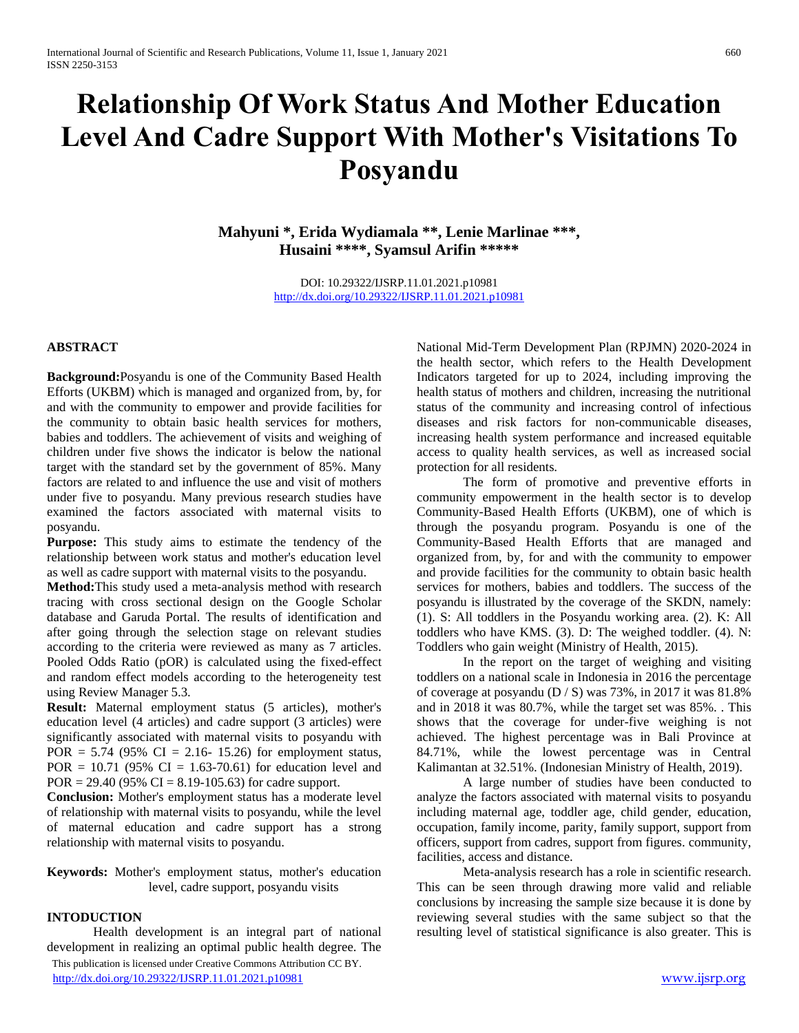# **Relationship Of Work Status And Mother Education Level And Cadre Support With Mother's Visitations To Posyandu**

**Mahyuni \*, Erida Wydiamala \*\*, Lenie Marlinae \*\*\*, Husaini \*\*\*\*, Syamsul Arifin \*\*\*\*\***

> DOI: 10.29322/IJSRP.11.01.2021.p10981 <http://dx.doi.org/10.29322/IJSRP.11.01.2021.p10981>

#### **ABSTRACT**

**Background:**Posyandu is one of the Community Based Health Efforts (UKBM) which is managed and organized from, by, for and with the community to empower and provide facilities for the community to obtain basic health services for mothers, babies and toddlers. The achievement of visits and weighing of children under five shows the indicator is below the national target with the standard set by the government of 85%. Many factors are related to and influence the use and visit of mothers under five to posyandu. Many previous research studies have examined the factors associated with maternal visits to posyandu.

**Purpose:** This study aims to estimate the tendency of the relationship between work status and mother's education level as well as cadre support with maternal visits to the posyandu.

**Method:**This study used a meta-analysis method with research tracing with cross sectional design on the Google Scholar database and Garuda Portal. The results of identification and after going through the selection stage on relevant studies according to the criteria were reviewed as many as 7 articles. Pooled Odds Ratio (pOR) is calculated using the fixed-effect and random effect models according to the heterogeneity test using Review Manager 5.3.

**Result:** Maternal employment status (5 articles), mother's education level (4 articles) and cadre support (3 articles) were significantly associated with maternal visits to posyandu with POR =  $5.74$  (95% CI = 2.16- 15.26) for employment status, POR =  $10.71$  (95% CI = 1.63-70.61) for education level and POR = 29.40 (95% CI = 8.19-105.63) for cadre support.

**Conclusion:** Mother's employment status has a moderate level of relationship with maternal visits to posyandu, while the level of maternal education and cadre support has a strong relationship with maternal visits to posyandu.

**Keywords:** Mother's employment status, mother's education level, cadre support, posyandu visits

#### **INTODUCTION**

 This publication is licensed under Creative Commons Attribution CC BY. <http://dx.doi.org/10.29322/IJSRP.11.01.2021.p10981> [www.ijsrp.org](http://ijsrp.org/) Health development is an integral part of national development in realizing an optimal public health degree. The

National Mid-Term Development Plan (RPJMN) 2020-2024 in the health sector, which refers to the Health Development Indicators targeted for up to 2024, including improving the health status of mothers and children, increasing the nutritional status of the community and increasing control of infectious diseases and risk factors for non-communicable diseases, increasing health system performance and increased equitable access to quality health services, as well as increased social protection for all residents.

The form of promotive and preventive efforts in community empowerment in the health sector is to develop Community-Based Health Efforts (UKBM), one of which is through the posyandu program. Posyandu is one of the Community-Based Health Efforts that are managed and organized from, by, for and with the community to empower and provide facilities for the community to obtain basic health services for mothers, babies and toddlers. The success of the posyandu is illustrated by the coverage of the SKDN, namely: (1). S: All toddlers in the Posyandu working area. (2). K: All toddlers who have KMS. (3). D: The weighed toddler. (4). N: Toddlers who gain weight (Ministry of Health, 2015).

In the report on the target of weighing and visiting toddlers on a national scale in Indonesia in 2016 the percentage of coverage at posyandu (D / S) was 73%, in 2017 it was 81.8% and in 2018 it was 80.7%, while the target set was 85%. . This shows that the coverage for under-five weighing is not achieved. The highest percentage was in Bali Province at 84.71%, while the lowest percentage was in Central Kalimantan at 32.51%. (Indonesian Ministry of Health, 2019).

A large number of studies have been conducted to analyze the factors associated with maternal visits to posyandu including maternal age, toddler age, child gender, education, occupation, family income, parity, family support, support from officers, support from cadres, support from figures. community, facilities, access and distance.

Meta-analysis research has a role in scientific research. This can be seen through drawing more valid and reliable conclusions by increasing the sample size because it is done by reviewing several studies with the same subject so that the resulting level of statistical significance is also greater. This is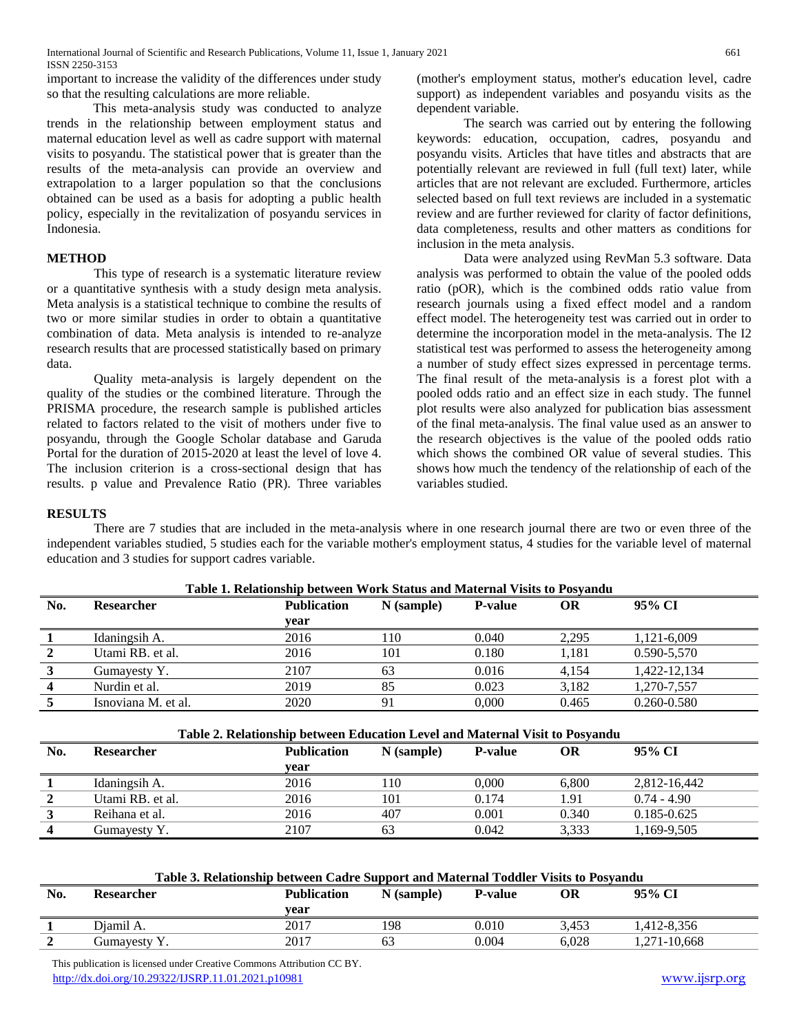important to increase the validity of the differences under study so that the resulting calculations are more reliable.

This meta-analysis study was conducted to analyze trends in the relationship between employment status and maternal education level as well as cadre support with maternal visits to posyandu. The statistical power that is greater than the results of the meta-analysis can provide an overview and extrapolation to a larger population so that the conclusions obtained can be used as a basis for adopting a public health policy, especially in the revitalization of posyandu services in Indonesia.

## **METHOD**

This type of research is a systematic literature review or a quantitative synthesis with a study design meta analysis. Meta analysis is a statistical technique to combine the results of two or more similar studies in order to obtain a quantitative combination of data. Meta analysis is intended to re-analyze research results that are processed statistically based on primary data.

Quality meta-analysis is largely dependent on the quality of the studies or the combined literature. Through the PRISMA procedure, the research sample is published articles related to factors related to the visit of mothers under five to posyandu, through the Google Scholar database and Garuda Portal for the duration of 2015-2020 at least the level of love 4. The inclusion criterion is a cross-sectional design that has results. p value and Prevalence Ratio (PR). Three variables

(mother's employment status, mother's education level, cadre support) as independent variables and posyandu visits as the dependent variable.

The search was carried out by entering the following keywords: education, occupation, cadres, posyandu and posyandu visits. Articles that have titles and abstracts that are potentially relevant are reviewed in full (full text) later, while articles that are not relevant are excluded. Furthermore, articles selected based on full text reviews are included in a systematic review and are further reviewed for clarity of factor definitions, data completeness, results and other matters as conditions for inclusion in the meta analysis.

Data were analyzed using RevMan 5.3 software. Data analysis was performed to obtain the value of the pooled odds ratio (pOR), which is the combined odds ratio value from research journals using a fixed effect model and a random effect model. The heterogeneity test was carried out in order to determine the incorporation model in the meta-analysis. The I2 statistical test was performed to assess the heterogeneity among a number of study effect sizes expressed in percentage terms. The final result of the meta-analysis is a forest plot with a pooled odds ratio and an effect size in each study. The funnel plot results were also analyzed for publication bias assessment of the final meta-analysis. The final value used as an answer to the research objectives is the value of the pooled odds ratio which shows the combined OR value of several studies. This shows how much the tendency of the relationship of each of the variables studied.

#### **RESULTS**

There are 7 studies that are included in the meta-analysis where in one research journal there are two or even three of the independent variables studied, 5 studies each for the variable mother's employment status, 4 studies for the variable level of maternal education and 3 studies for support cadres variable.

| No. | <b>Researcher</b>   | <b>Publication</b> | $N$ (sample) | <b>P-value</b> | OR    | 95% CI          |  |  |  |
|-----|---------------------|--------------------|--------------|----------------|-------|-----------------|--|--|--|
|     |                     | vear               |              |                |       |                 |  |  |  |
|     | Idaningsih A.       | 2016               | 110          | 0.040          | 2.295 | 1,121-6,009     |  |  |  |
|     | Utami RB, et al.    | 2016               | 101          | 0.180          | 1.181 | $0.590 - 5,570$ |  |  |  |
|     | Gumayesty Y.        | 2107               | 63           | 0.016          | 4.154 | 1,422-12,134    |  |  |  |
|     | Nurdin et al.       | 2019               | 85           | 0.023          | 3,182 | 1,270-7,557     |  |  |  |
|     | Isnoviana M. et al. | 2020               | 91           | 0.000          | 0.465 | $0.260 - 0.580$ |  |  |  |
|     |                     |                    |              |                |       |                 |  |  |  |

| Table 1. Relationship between Work Status and Maternal Visits to Posyandu |  |  |  |
|---------------------------------------------------------------------------|--|--|--|
|---------------------------------------------------------------------------|--|--|--|

| Table 2. Relationship between Education Level and Maternal Visit to Posyandu                   |      |     |       |       |                 |  |  |  |  |
|------------------------------------------------------------------------------------------------|------|-----|-------|-------|-----------------|--|--|--|--|
| <b>Publication</b><br>No.<br>95% CI<br>N (sample)<br>OR<br><b>Researcher</b><br><b>P-value</b> |      |     |       |       |                 |  |  |  |  |
|                                                                                                | vear |     |       |       |                 |  |  |  |  |
| Idaningsih A.                                                                                  | 2016 | 110 | 0.000 | 6.800 | 2.812-16.442    |  |  |  |  |
| Utami RB. et al.                                                                               | 2016 | 101 | 0.174 | l.91  | $0.74 - 4.90$   |  |  |  |  |
| Reihana et al.                                                                                 | 2016 | 407 | 0.001 | 0.340 | $0.185 - 0.625$ |  |  |  |  |
| Gumayesty Y.                                                                                   | 2107 | 63  | 0.042 | 3.333 | 1,169-9,505     |  |  |  |  |
|                                                                                                |      |     |       |       |                 |  |  |  |  |

| Table 3. Relationship between Cadre Support and Maternal Toddler Visits to Posyandu |  |
|-------------------------------------------------------------------------------------|--|
|                                                                                     |  |

| No. | <b>Researcher</b> | <b>Publication</b> | N (sample) | <b>P-value</b> | ОR    | 95% CI       |
|-----|-------------------|--------------------|------------|----------------|-------|--------------|
|     |                   | vear               |            |                |       |              |
|     | Diamil A.         | 2017               | 198        | 0.010          | 3.453 | .412-8,356   |
|     | Gumayesty Y.      | 2017               | 63         | 0.004          | 6.028 | 1,271-10,668 |

 This publication is licensed under Creative Commons Attribution CC BY. <http://dx.doi.org/10.29322/IJSRP.11.01.2021.p10981> [www.ijsrp.org](http://ijsrp.org/)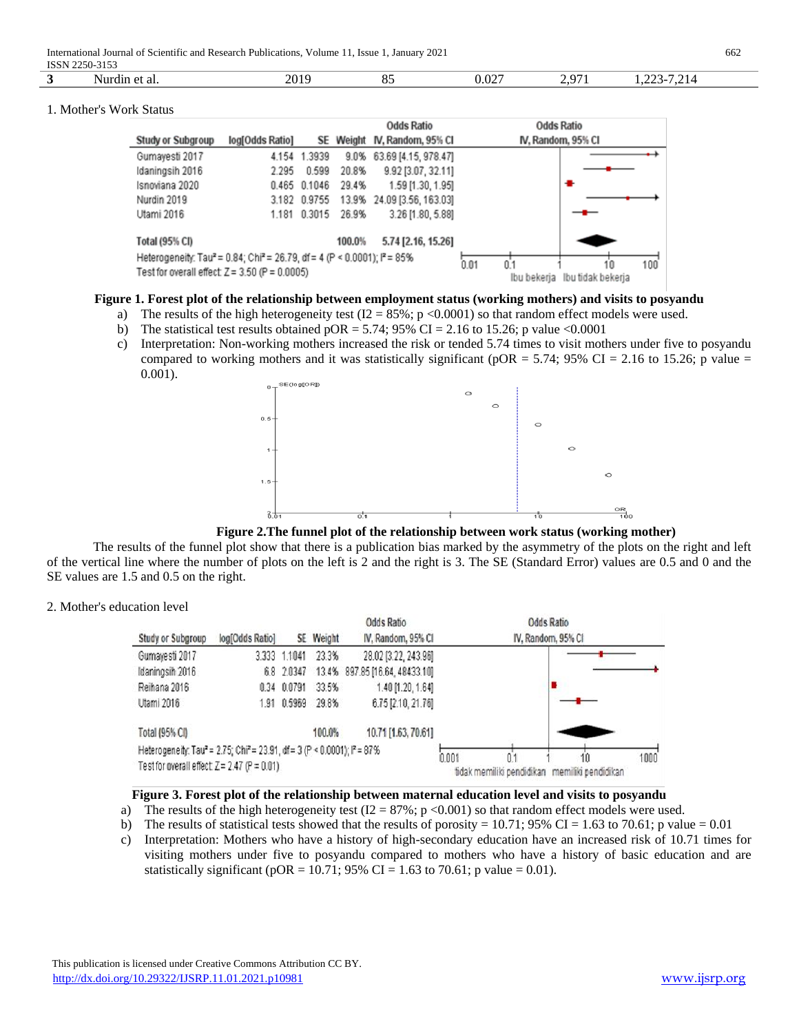International Journal of Scientific and Research Publications, Volume 11, Issue 1, January 2021 662 ISSN 2250-3153

| <b>IPPIJ</b> | .<br><i></i><br>- 2122 |             |                     |     |                            |                               |  |  |  |
|--------------|------------------------|-------------|---------------------|-----|----------------------------|-------------------------------|--|--|--|
|              | : al<br>$\cdots$       | 301<br>20 F | $\overline{c}$<br>ັ | - - | $\sim$ $ \sim$<br>∼<br>. . | $\overline{\phantom{a}}$<br>. |  |  |  |
|              |                        |             |                     |     |                            |                               |  |  |  |

#### 1. Mother's Work Status

|                                                                                                             |                 |              |                   | <b>Odds Ratio</b>          |  | <b>Odds Ratio</b>  |
|-------------------------------------------------------------------------------------------------------------|-----------------|--------------|-------------------|----------------------------|--|--------------------|
| <b>Study or Subgroup</b>                                                                                    | log[Odds Ratio] | SE           | Weight            | IV, Random, 95% CI         |  | IV, Random, 95% CI |
| Gumayesti 2017                                                                                              | 4.154           | 1.3939       | 9.0%              | 63.69 [4.15, 978.47]       |  |                    |
| Idaningsih 2016                                                                                             | 2.295           | 0.599        | 20.8%             | 9.92 [3.07, 32.11]         |  |                    |
| Isnoviana 2020                                                                                              |                 | 0.465 0.1046 | 29.4%             | 1.59 [1.30, 1.95]          |  | ۰                  |
| Nurdin 2019                                                                                                 |                 | 3.182 0.9755 |                   | 13.9% 24.09 [3.56, 163.03] |  |                    |
| Utami 2016                                                                                                  |                 | 1.181 0.3015 | 26.9%             | 3.26 [1.80, 5.88]          |  |                    |
| Total (95% CI)                                                                                              |                 |              | 100.0%            | 5.74 [2.16, 15.26]         |  |                    |
| Heterogeneity: Tau <sup>2</sup> = 0.84; Chi <sup>2</sup> = 26.79, df = 4 (P < 0.0001); i <sup>2</sup> = 85% |                 | 0.01<br>0.1  | $100^\circ$<br>10 |                            |  |                    |
| Test for overall effect: $Z = 3.50$ (P = 0.0005)                                                            |                 | Ibu bekeria  | Ibu tidak bekeria |                            |  |                    |

## **Figure 1. Forest plot of the relationship between employment status (working mothers) and visits to posyandu**

- a) The results of the high heterogeneity test  $(I2 = 85\%; p < 0.0001)$  so that random effect models were used.
- b) The statistical test results obtained  $pOR = 5.74$ ; 95% CI = 2.16 to 15.26; p value <0.0001
- c) Interpretation: Non-working mothers increased the risk or tended 5.74 times to visit mothers under five to posyandu compared to working mothers and it was statistically significant (pOR = 5.74; 95% CI = 2.16 to 15.26; p value = 0.001).



**Figure 2.The funnel plot of the relationship between work status (working mother)**

The results of the funnel plot show that there is a publication bias marked by the asymmetry of the plots on the right and left of the vertical line where the number of plots on the left is 2 and the right is 3. The SE (Standard Error) values are 0.5 and 0 and the SE values are 1.5 and 0.5 on the right.

2. Mother's education level

| Study or Subgroup                                                      | log[Odds Ratio] |              | SE Weight | Odds Ratio<br>IV, Random, 95% CI |       | <b>Odds Ratio</b><br>IV. Random, 95% CI |                                               |      |
|------------------------------------------------------------------------|-----------------|--------------|-----------|----------------------------------|-------|-----------------------------------------|-----------------------------------------------|------|
| Gumayesti 2017                                                         |                 | 3.333 1.1041 | 23.3%     | 28.02 [3.22, 243.96]             |       |                                         |                                               |      |
| Idaningsih 2016                                                        |                 | 6.8 2.0347   |           | 13.4% 897.85 [16.64, 48433.10]   |       |                                         |                                               |      |
| Reihana 2016                                                           |                 | 0.34 0.0791  | 33.5%     | 1.40 [1.20, 1.64]                |       |                                         |                                               |      |
| Utami 2016                                                             |                 | 1.91 0.5969  | 29.8%     | 6.75 [2.10, 21.76]               |       |                                         |                                               |      |
| Total (95% CI)                                                         |                 |              | 100.0%    | 10.71 [1.63, 70.61]              |       |                                         |                                               |      |
| Heterogeneity: Tau2 = 2.75; Chi2 = 23.91, df = 3 (P < 0.0001); P = 87% |                 |              |           |                                  |       |                                         | 10                                            | 1000 |
| Test for overall effect $Z = 2.47$ (P = 0.01)                          |                 |              |           |                                  | 0.001 | 0.1                                     | tidak memiliki pendidikan memiliki pendidikan |      |

### **Figure 3. Forest plot of the relationship between maternal education level and visits to posyandu**

- a) The results of the high heterogeneity test  $(I2 = 87\%; p < 0.001)$  so that random effect models were used.
- b) The results of statistical tests showed that the results of porosity =  $10.71$ ; 95% CI = 1.63 to 70.61; p value = 0.01
- c) Interpretation: Mothers who have a history of high-secondary education have an increased risk of 10.71 times for visiting mothers under five to posyandu compared to mothers who have a history of basic education and are statistically significant (pOR = 10.71; 95% CI = 1.63 to 70.61; p value = 0.01).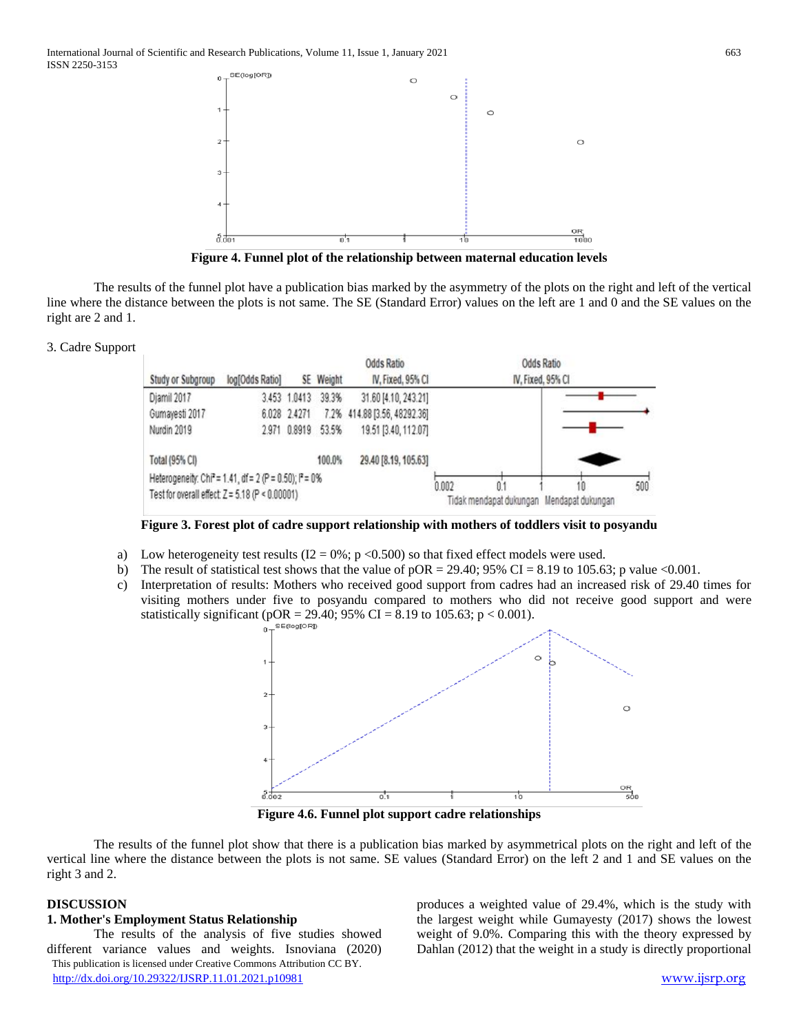

**Figure 4. Funnel plot of the relationship between maternal education levels**

The results of the funnel plot have a publication bias marked by the asymmetry of the plots on the right and left of the vertical line where the distance between the plots is not same. The SE (Standard Error) values on the left are 1 and 0 and the SE values on the right are 2 and 1.

#### 3. Cadre Support

| Study or Subgroup                                                    | log[Odds Ratio] |              | SE Weight | <b>Odds Ratio</b><br>IV, Fixed, 95% CI |       | Odds Ratio<br>IV, Fixed, 95% CI           |     |
|----------------------------------------------------------------------|-----------------|--------------|-----------|----------------------------------------|-------|-------------------------------------------|-----|
| Djamil 2017                                                          |                 | 3.453 1.0413 | 39.3%     | 31.60 [4.10, 243.21]                   |       |                                           |     |
| Gumayesti 2017                                                       |                 | 6.028 2.4271 |           | 7.2% 414.88 [3.56, 48292.36]           |       |                                           |     |
| Nurdin 2019                                                          |                 | 2.971 0.8919 | 53.5%     | 19.51 [3.40, 112.07]                   |       |                                           |     |
| Total (95% CI)                                                       |                 |              | 100.0%    | 29.40 [8.19, 105.63]                   |       |                                           |     |
| Heterogeneity: Chi <sup>2</sup> = 1.41, df = 2 (P = 0.50); $P = 0\%$ |                 |              |           |                                        | 0.002 | 10                                        | 500 |
| Test for overall effect: Z = 5.18 (P < 0.00001)                      |                 |              |           |                                        |       | Tidak mendapat dukungan Mendapat dukungan |     |

**Figure 3. Forest plot of cadre support relationship with mothers of toddlers visit to posyandu**

- a) Low heterogeneity test results  $(I2 = 0\%; p \lt 0.500)$  so that fixed effect models were used.
- b) The result of statistical test shows that the value of  $pOR = 29.40$ ; 95% CI = 8.19 to 105.63; p value <0.001.
- c) Interpretation of results: Mothers who received good support from cadres had an increased risk of 29.40 times for visiting mothers under five to posyandu compared to mothers who did not receive good support and were statistically significant (pOR = 29.40; 95% CI = 8.19 to 105.63;  $p < 0.001$ ).



**Figure 4.6. Funnel plot support cadre relationships**

The results of the funnel plot show that there is a publication bias marked by asymmetrical plots on the right and left of the vertical line where the distance between the plots is not same. SE values (Standard Error) on the left 2 and 1 and SE values on the right 3 and 2.

#### **DISCUSSION**

# **1. Mother's Employment Status Relationship**

 This publication is licensed under Creative Commons Attribution CC BY. <http://dx.doi.org/10.29322/IJSRP.11.01.2021.p10981> [www.ijsrp.org](http://ijsrp.org/) The results of the analysis of five studies showed different variance values and weights. Isnoviana (2020)

produces a weighted value of 29.4%, which is the study with the largest weight while Gumayesty (2017) shows the lowest weight of 9.0%. Comparing this with the theory expressed by Dahlan (2012) that the weight in a study is directly proportional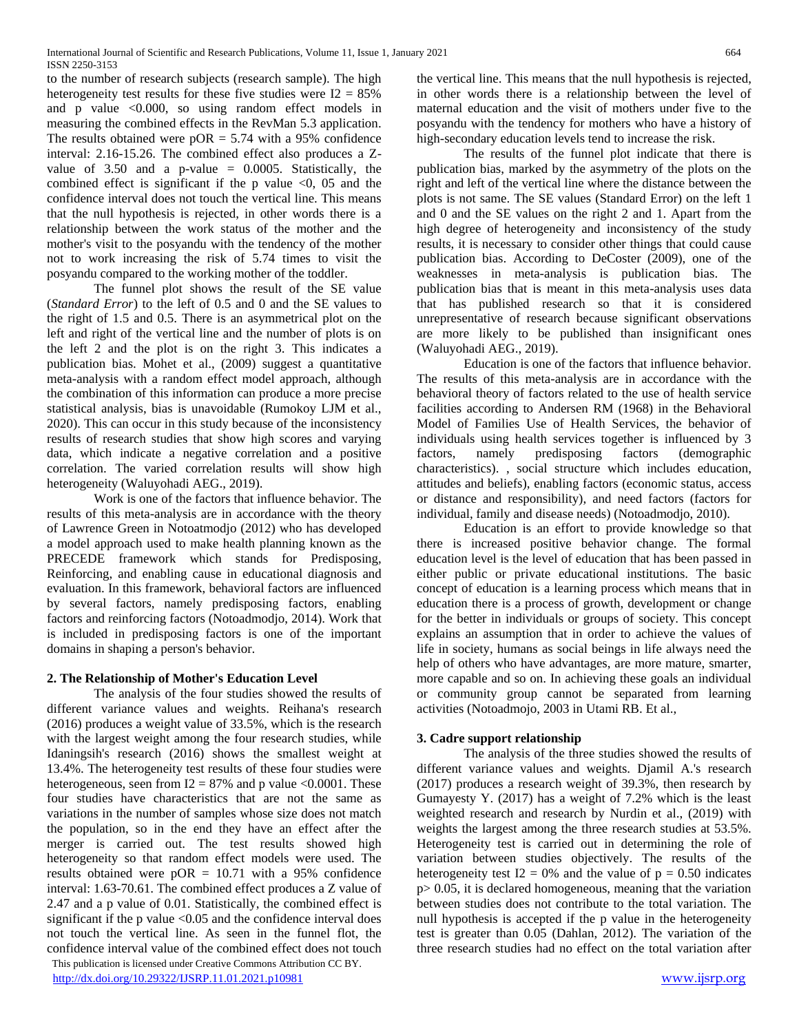to the number of research subjects (research sample). The high heterogeneity test results for these five studies were  $I2 = 85\%$ and p value <0.000, so using random effect models in measuring the combined effects in the RevMan 5.3 application. The results obtained were  $pOR = 5.74$  with a 95% confidence interval: 2.16-15.26. The combined effect also produces a Zvalue of  $3.50$  and a p-value = 0.0005. Statistically, the combined effect is significant if the p value  $\leq 0$ , 05 and the confidence interval does not touch the vertical line. This means that the null hypothesis is rejected, in other words there is a relationship between the work status of the mother and the mother's visit to the posyandu with the tendency of the mother not to work increasing the risk of 5.74 times to visit the posyandu compared to the working mother of the toddler.

The funnel plot shows the result of the SE value (*Standard Error*) to the left of 0.5 and 0 and the SE values to the right of 1.5 and 0.5. There is an asymmetrical plot on the left and right of the vertical line and the number of plots is on the left 2 and the plot is on the right 3. This indicates a publication bias. Mohet et al., (2009) suggest a quantitative meta-analysis with a random effect model approach, although the combination of this information can produce a more precise statistical analysis, bias is unavoidable (Rumokoy LJM et al., 2020). This can occur in this study because of the inconsistency results of research studies that show high scores and varying data, which indicate a negative correlation and a positive correlation. The varied correlation results will show high heterogeneity (Waluyohadi AEG., 2019).

Work is one of the factors that influence behavior. The results of this meta-analysis are in accordance with the theory of Lawrence Green in Notoatmodjo (2012) who has developed a model approach used to make health planning known as the PRECEDE framework which stands for Predisposing, Reinforcing, and enabling cause in educational diagnosis and evaluation. In this framework, behavioral factors are influenced by several factors, namely predisposing factors, enabling factors and reinforcing factors (Notoadmodjo, 2014). Work that is included in predisposing factors is one of the important domains in shaping a person's behavior.

# **2. The Relationship of Mother's Education Level**

 This publication is licensed under Creative Commons Attribution CC BY. <http://dx.doi.org/10.29322/IJSRP.11.01.2021.p10981> [www.ijsrp.org](http://ijsrp.org/) The analysis of the four studies showed the results of different variance values and weights. Reihana's research (2016) produces a weight value of 33.5%, which is the research with the largest weight among the four research studies, while Idaningsih's research (2016) shows the smallest weight at 13.4%. The heterogeneity test results of these four studies were heterogeneous, seen from  $I2 = 87\%$  and p value <0.0001. These four studies have characteristics that are not the same as variations in the number of samples whose size does not match the population, so in the end they have an effect after the merger is carried out. The test results showed high heterogeneity so that random effect models were used. The results obtained were  $pOR = 10.71$  with a 95% confidence interval: 1.63-70.61. The combined effect produces a Z value of 2.47 and a p value of 0.01. Statistically, the combined effect is significant if the  $p$  value  $\leq 0.05$  and the confidence interval does not touch the vertical line. As seen in the funnel flot, the confidence interval value of the combined effect does not touch

the vertical line. This means that the null hypothesis is rejected, in other words there is a relationship between the level of maternal education and the visit of mothers under five to the posyandu with the tendency for mothers who have a history of high-secondary education levels tend to increase the risk.

The results of the funnel plot indicate that there is publication bias, marked by the asymmetry of the plots on the right and left of the vertical line where the distance between the plots is not same. The SE values (Standard Error) on the left 1 and 0 and the SE values on the right 2 and 1. Apart from the high degree of heterogeneity and inconsistency of the study results, it is necessary to consider other things that could cause publication bias. According to DeCoster (2009), one of the weaknesses in meta-analysis is publication bias. The publication bias that is meant in this meta-analysis uses data that has published research so that it is considered unrepresentative of research because significant observations are more likely to be published than insignificant ones (Waluyohadi AEG., 2019).

Education is one of the factors that influence behavior. The results of this meta-analysis are in accordance with the behavioral theory of factors related to the use of health service facilities according to Andersen RM (1968) in the Behavioral Model of Families Use of Health Services, the behavior of individuals using health services together is influenced by 3 factors, namely predisposing factors (demographic characteristics). , social structure which includes education, attitudes and beliefs), enabling factors (economic status, access or distance and responsibility), and need factors (factors for individual, family and disease needs) (Notoadmodjo, 2010).

Education is an effort to provide knowledge so that there is increased positive behavior change. The formal education level is the level of education that has been passed in either public or private educational institutions. The basic concept of education is a learning process which means that in education there is a process of growth, development or change for the better in individuals or groups of society. This concept explains an assumption that in order to achieve the values of life in society, humans as social beings in life always need the help of others who have advantages, are more mature, smarter, more capable and so on. In achieving these goals an individual or community group cannot be separated from learning activities (Notoadmojo, 2003 in Utami RB. Et al.,

# **3. Cadre support relationship**

The analysis of the three studies showed the results of different variance values and weights. Djamil A.'s research (2017) produces a research weight of 39.3%, then research by Gumayesty Y. (2017) has a weight of 7.2% which is the least weighted research and research by Nurdin et al., (2019) with weights the largest among the three research studies at 53.5%. Heterogeneity test is carried out in determining the role of variation between studies objectively. The results of the heterogeneity test  $I2 = 0\%$  and the value of  $p = 0.50$  indicates  $p > 0.05$ , it is declared homogeneous, meaning that the variation between studies does not contribute to the total variation. The null hypothesis is accepted if the p value in the heterogeneity test is greater than 0.05 (Dahlan, 2012). The variation of the three research studies had no effect on the total variation after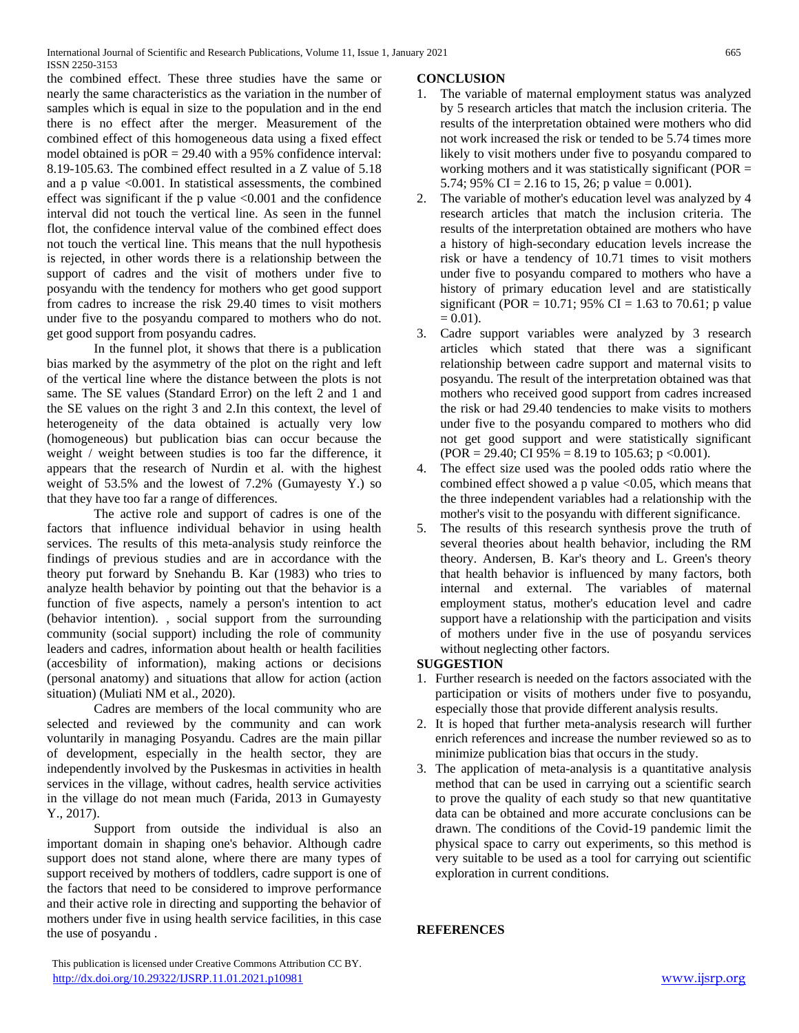the combined effect. These three studies have the same or nearly the same characteristics as the variation in the number of samples which is equal in size to the population and in the end there is no effect after the merger. Measurement of the combined effect of this homogeneous data using a fixed effect model obtained is pOR = 29.40 with a 95% confidence interval: 8.19-105.63. The combined effect resulted in a Z value of 5.18 and a p value  $\leq 0.001$ . In statistical assessments, the combined effect was significant if the p value <0.001 and the confidence interval did not touch the vertical line. As seen in the funnel flot, the confidence interval value of the combined effect does not touch the vertical line. This means that the null hypothesis is rejected, in other words there is a relationship between the support of cadres and the visit of mothers under five to posyandu with the tendency for mothers who get good support from cadres to increase the risk 29.40 times to visit mothers under five to the posyandu compared to mothers who do not. get good support from posyandu cadres.

In the funnel plot, it shows that there is a publication bias marked by the asymmetry of the plot on the right and left of the vertical line where the distance between the plots is not same. The SE values (Standard Error) on the left 2 and 1 and the SE values on the right 3 and 2.In this context, the level of heterogeneity of the data obtained is actually very low (homogeneous) but publication bias can occur because the weight / weight between studies is too far the difference, it appears that the research of Nurdin et al. with the highest weight of 53.5% and the lowest of 7.2% (Gumayesty Y.) so that they have too far a range of differences.

The active role and support of cadres is one of the factors that influence individual behavior in using health services. The results of this meta-analysis study reinforce the findings of previous studies and are in accordance with the theory put forward by Snehandu B. Kar (1983) who tries to analyze health behavior by pointing out that the behavior is a function of five aspects, namely a person's intention to act (behavior intention). , social support from the surrounding community (social support) including the role of community leaders and cadres, information about health or health facilities (accesbility of information), making actions or decisions (personal anatomy) and situations that allow for action (action situation) (Muliati NM et al., 2020).

Cadres are members of the local community who are selected and reviewed by the community and can work voluntarily in managing Posyandu. Cadres are the main pillar of development, especially in the health sector, they are independently involved by the Puskesmas in activities in health services in the village, without cadres, health service activities in the village do not mean much (Farida, 2013 in Gumayesty Y., 2017).

Support from outside the individual is also an important domain in shaping one's behavior. Although cadre support does not stand alone, where there are many types of support received by mothers of toddlers, cadre support is one of the factors that need to be considered to improve performance and their active role in directing and supporting the behavior of mothers under five in using health service facilities, in this case the use of posyandu .

# **CONCLUSION**

- 1. The variable of maternal employment status was analyzed by 5 research articles that match the inclusion criteria. The results of the interpretation obtained were mothers who did not work increased the risk or tended to be 5.74 times more likely to visit mothers under five to posyandu compared to working mothers and it was statistically significant (POR = 5.74; 95% CI = 2.16 to 15, 26; p value = 0.001).
- 2. The variable of mother's education level was analyzed by 4 research articles that match the inclusion criteria. The results of the interpretation obtained are mothers who have a history of high-secondary education levels increase the risk or have a tendency of 10.71 times to visit mothers under five to posyandu compared to mothers who have a history of primary education level and are statistically significant (POR = 10.71; 95% CI = 1.63 to 70.61; p value  $= 0.01$ .
- 3. Cadre support variables were analyzed by 3 research articles which stated that there was a significant relationship between cadre support and maternal visits to posyandu. The result of the interpretation obtained was that mothers who received good support from cadres increased the risk or had 29.40 tendencies to make visits to mothers under five to the posyandu compared to mothers who did not get good support and were statistically significant  $(POR = 29.40; CI 95\% = 8.19$  to 105.63; p <0.001).
- 4. The effect size used was the pooled odds ratio where the combined effect showed a p value  $< 0.05$ , which means that the three independent variables had a relationship with the mother's visit to the posyandu with different significance.
- 5. The results of this research synthesis prove the truth of several theories about health behavior, including the RM theory. Andersen, B. Kar's theory and L. Green's theory that health behavior is influenced by many factors, both internal and external. The variables of maternal employment status, mother's education level and cadre support have a relationship with the participation and visits of mothers under five in the use of posyandu services without neglecting other factors.

# **SUGGESTION**

- 1. Further research is needed on the factors associated with the participation or visits of mothers under five to posyandu, especially those that provide different analysis results.
- 2. It is hoped that further meta-analysis research will further enrich references and increase the number reviewed so as to minimize publication bias that occurs in the study.
- 3. The application of meta-analysis is a quantitative analysis method that can be used in carrying out a scientific search to prove the quality of each study so that new quantitative data can be obtained and more accurate conclusions can be drawn. The conditions of the Covid-19 pandemic limit the physical space to carry out experiments, so this method is very suitable to be used as a tool for carrying out scientific exploration in current conditions.

# **REFERENCES**

This publication is licensed under Creative Commons Attribution CC BY.